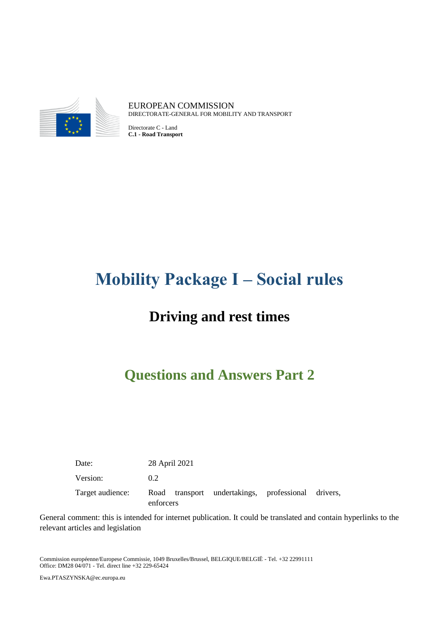

EUROPEAN COMMISSION DIRECTORATE-GENERAL FOR MOBILITY AND TRANSPORT

Directorate C - Land **C.1 - Road Transport**

# **Mobility Package I – Social rules**

# **Driving and rest times**

# **Questions and Answers Part 2**

Date: 28 April 2021 Version: 0.2 Target audience: Road transport undertakings, professional drivers, enforcers

General comment: this is intended for internet publication. It could be translated and contain hyperlinks to the relevant articles and legislation

Commission européenne/Europese Commissie, 1049 Bruxelles/Brussel, BELGIQUE/BELGIË - Tel. +32 22991111 Office: DM28 04/071 - Tel. direct line +32 229-65424

Ewa.PTASZYNSKA@ec.europa.eu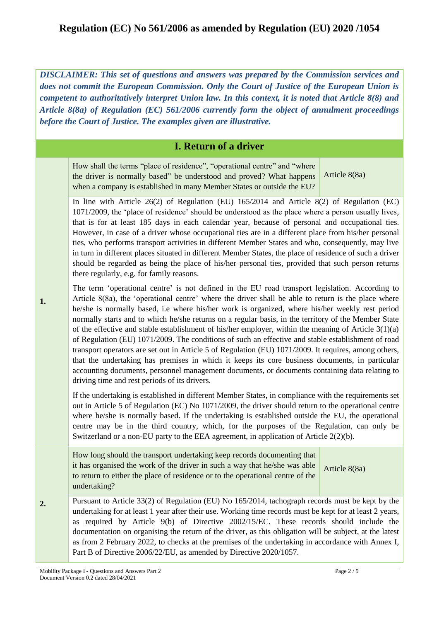*DISCLAIMER: This set of questions and answers was prepared by the Commission services and does not commit the European Commission. Only the Court of Justice of the European Union is competent to authoritatively interpret Union law. In this context, it is noted that Article 8(8) and Article 8(8a) of Regulation (EC) 561/2006 currently form the object of annulment proceedings before the Court of Justice. The examples given are illustrative.*

#### **I. Return of a driver**

How shall the terms "place of residence", "operational centre" and "where the driver is normally based" be understood and proved? What happens when a company is established in many Member States or outside the EU? Article 8(8a)

In line with Article 26(2) of Regulation (EU) 165/2014 and Article 8(2) of Regulation (EC) 1071/2009, the 'place of residence' should be understood as the place where a person usually lives, that is for at least 185 days in each calendar year, because of personal and occupational ties. However, in case of a driver whose occupational ties are in a different place from his/her personal ties, who performs transport activities in different Member States and who, consequently, may live in turn in different places situated in different Member States, the place of residence of such a driver should be regarded as being the place of his/her personal ties, provided that such person returns there regularly, e.g. for family reasons.

**1.** The term 'operational centre' is not defined in the EU road transport legislation. According to Article 8(8a), the 'operational centre' where the driver shall be able to return is the place where he/she is normally based, i.e where his/her work is organized, where his/her weekly rest period normally starts and to which he/she returns on a regular basis, in the territory of the Member State of the effective and stable establishment of his/her employer, within the meaning of Article  $3(1)(a)$ of Regulation (EU) 1071/2009. The conditions of such an effective and stable establishment of road transport operators are set out in Article 5 of Regulation (EU) 1071/2009. It requires, among others, that the undertaking has premises in which it keeps its core business documents, in particular accounting documents, personnel management documents, or documents containing data relating to driving time and rest periods of its drivers.

If the undertaking is established in different Member States, in compliance with the requirements set out in Article 5 of Regulation (EC) No 1071/2009, the driver should return to the operational centre where he/she is normally based. If the undertaking is established outside the EU, the operational centre may be in the third country, which, for the purposes of the Regulation, can only be Switzerland or a non-EU party to the EEA agreement, in application of Article 2(2)(b).

How long should the transport undertaking keep records documenting that it has organised the work of the driver in such a way that he/she was able to return to either the place of residence or to the operational centre of the undertaking?

Article 8(8a)

**2.**  Pursuant to Article 33(2) of Regulation (EU) No 165/2014, tachograph records must be kept by the undertaking for at least 1 year after their use. Working time records must be kept for at least 2 years, as required by Article 9(b) of Directive 2002/15/EC. These records should include the documentation on organising the return of the driver, as this obligation will be subject, at the latest as from 2 February 2022, to checks at the premises of the undertaking in accordance with Annex I, Part B of Directive 2006/22/EU, as amended by Directive 2020/1057.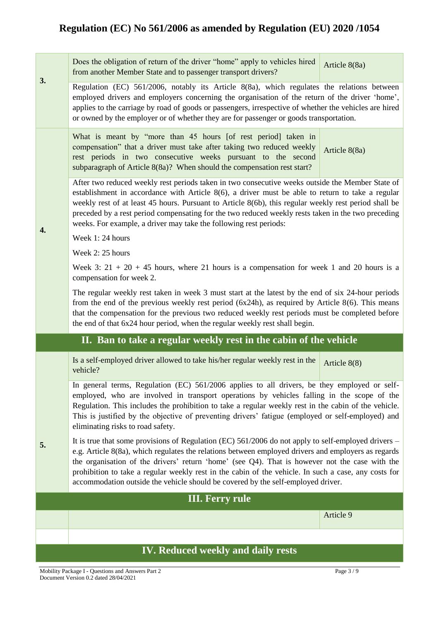**3.**  Does the obligation of return of the driver "home" apply to vehicles hired from another Member State and to passenger transport drivers? Article 8(8a) Regulation (EC) 561/2006, notably its Article 8(8a), which regulates the relations between employed drivers and employers concerning the organisation of the return of the driver 'home', applies to the carriage by road of goods or passengers, irrespective of whether the vehicles are hired or owned by the employer or of whether they are for passenger or goods transportation. **4.**  What is meant by "more than 45 hours [of rest period] taken in compensation" that a driver must take after taking two reduced weekly rest periods in two consecutive weeks pursuant to the second subparagraph of Article 8(8a)? When should the compensation rest start? Article 8(8a) After two reduced weekly rest periods taken in two consecutive weeks outside the Member State of establishment in accordance with Article 8(6), a driver must be able to return to take a regular weekly rest of at least 45 hours. Pursuant to Article 8(6b), this regular weekly rest period shall be preceded by a rest period compensating for the two reduced weekly rests taken in the two preceding weeks. For example, a driver may take the following rest periods: Week 1: 24 hours Week 2: 25 hours Week 3:  $21 + 20 + 45$  hours, where 21 hours is a compensation for week 1 and 20 hours is a compensation for week 2. The regular weekly rest taken in week 3 must start at the latest by the end of six 24-hour periods from the end of the previous weekly rest period (6x24h), as required by Article 8(6). This means that the compensation for the previous two reduced weekly rest periods must be completed before the end of that 6x24 hour period, when the regular weekly rest shall begin. **II. Ban to take a regular weekly rest in the cabin of the vehicle 5.**  Is a self-employed driver allowed to take his/her regular weekly rest in the vehicle? Article 8(8) In general terms, Regulation (EC) 561/2006 applies to all drivers, be they employed or selfemployed, who are involved in transport operations by vehicles falling in the scope of the Regulation. This includes the prohibition to take a regular weekly rest in the cabin of the vehicle. This is justified by the objective of preventing drivers' fatigue (employed or self-employed) and eliminating risks to road safety. It is true that some provisions of Regulation (EC) 561/2006 do not apply to self-employed drivers – e.g. Article 8(8a), which regulates the relations between employed drivers and employers as regards the organisation of the drivers' return 'home' (see Q4). That is however not the case with the prohibition to take a regular weekly rest in the cabin of the vehicle. In such a case, any costs for accommodation outside the vehicle should be covered by the self-employed driver. **III. Ferry rule**  Article 9 **IV. Reduced weekly and daily rests**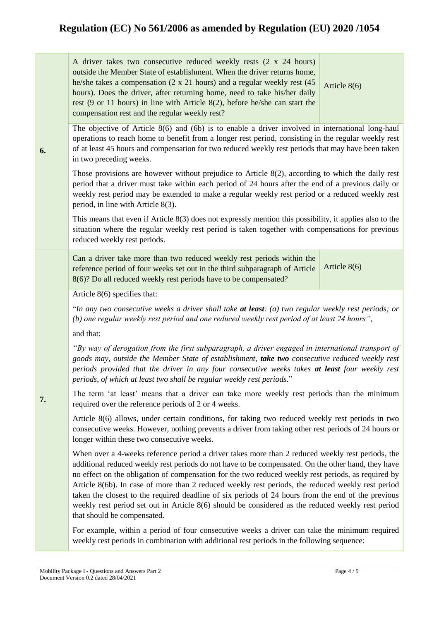| A driver takes two consecutive reduced weekly rests (2 x 24 hours)             |  |  |  |
|--------------------------------------------------------------------------------|--|--|--|
| outside the Member State of establishment. When the driver returns home,       |  |  |  |
| he/she takes a compensation (2 x 21 hours) and a regular weekly rest (45 $\mu$ |  |  |  |
| hours). Does the driver, after returning home, need to take his/her daily      |  |  |  |
| rest (9 or 11 hours) in line with Article $8(2)$ , before he/she can start the |  |  |  |
| compensation rest and the regular weekly rest?                                 |  |  |  |

Article 8(6)

The objective of Article 8(6) and (6b) is to enable a driver involved in international long-haul operations to reach home to benefit from a longer rest period, consisting in the regular weekly rest of at least 45 hours and compensation for two reduced weekly rest periods that may have been taken in two preceding weeks.

Those provisions are however without prejudice to Article 8(2), according to which the daily rest period that a driver must take within each period of 24 hours after the end of a previous daily or weekly rest period may be extended to make a regular weekly rest period or a reduced weekly rest period, in line with Article 8(3).

This means that even if Article 8(3) does not expressly mention this possibility, it applies also to the situation where the regular weekly rest period is taken together with compensations for previous reduced weekly rest periods.

| Can a driver take more than two reduced weekly rest periods within the                            |  |
|---------------------------------------------------------------------------------------------------|--|
| reference period of four weeks set out in the third subparagraph of Article $\left $ Article 8(6) |  |
| 8(6)? Do all reduced weekly rest periods have to be compensated?                                  |  |

Article 8(6) specifies that:

"*In any two consecutive weeks a driver shall take at least: (a) two regular weekly rest periods; or (b) one regular weekly rest period and one reduced weekly rest period of at least 24 hours"*,

and that:

**6.** 

**7.**

*"By way of derogation from the first subparagraph, a driver engaged in international transport of goods may, outside the Member State of establishment, take two consecutive reduced weekly rest periods provided that the driver in any four consecutive weeks takes at least four weekly rest periods, of which at least two shall be regular weekly rest periods*."

The term 'at least' means that a driver can take more weekly rest periods than the minimum required over the reference periods of 2 or 4 weeks.

Article 8(6) allows, under certain conditions, for taking two reduced weekly rest periods in two consecutive weeks. However, nothing prevents a driver from taking other rest periods of 24 hours or longer within these two consecutive weeks.

When over a 4-weeks reference period a driver takes more than 2 reduced weekly rest periods, the additional reduced weekly rest periods do not have to be compensated. On the other hand, they have no effect on the obligation of compensation for the two reduced weekly rest periods, as required by Article 8(6b). In case of more than 2 reduced weekly rest periods, the reduced weekly rest period taken the closest to the required deadline of six periods of 24 hours from the end of the previous weekly rest period set out in Article 8(6) should be considered as the reduced weekly rest period that should be compensated.

For example, within a period of four consecutive weeks a driver can take the minimum required weekly rest periods in combination with additional rest periods in the following sequence: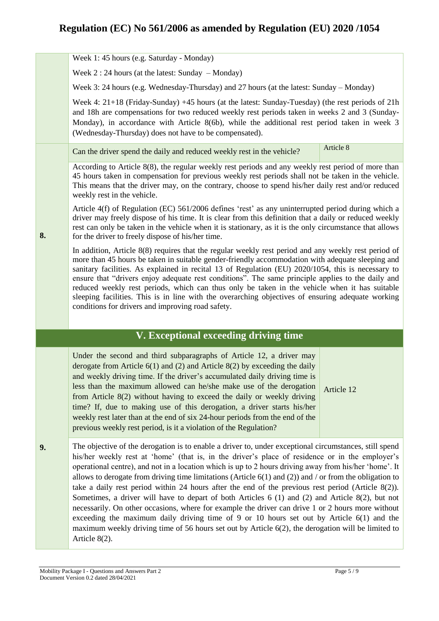Week 1: 45 hours (e.g. Saturday - Monday)

Week 2 : 24 hours (at the latest: Sunday – Monday)

Week 3: 24 hours (e.g. Wednesday-Thursday) and 27 hours (at the latest: Sunday – Monday)

Week 4: 21+18 (Friday-Sunday) +45 hours (at the latest: Sunday-Tuesday) (the rest periods of 21h and 18h are compensations for two reduced weekly rest periods taken in weeks 2 and 3 (Sunday-Monday), in accordance with Article 8(6b), while the additional rest period taken in week 3 (Wednesday-Thursday) does not have to be compensated).

Can the driver spend the daily and reduced weekly rest in the vehicle? Article 8

According to Article 8(8), the regular weekly rest periods and any weekly rest period of more than 45 hours taken in compensation for previous weekly rest periods shall not be taken in the vehicle. This means that the driver may, on the contrary, choose to spend his/her daily rest and/or reduced weekly rest in the vehicle.

Article 4(f) of Regulation (EC) 561/2006 defines 'rest' as any uninterrupted period during which a driver may freely dispose of his time. It is clear from this definition that a daily or reduced weekly rest can only be taken in the vehicle when it is stationary, as it is the only circumstance that allows for the driver to freely dispose of his/her time.

In addition, Article 8(8) requires that the regular weekly rest period and any weekly rest period of more than 45 hours be taken in suitable gender-friendly accommodation with adequate sleeping and sanitary facilities. As explained in recital 13 of Regulation (EU) 2020/1054, this is necessary to ensure that "drivers enjoy adequate rest conditions". The same principle applies to the daily and reduced weekly rest periods, which can thus only be taken in the vehicle when it has suitable sleeping facilities. This is in line with the overarching objectives of ensuring adequate working conditions for drivers and improving road safety.

#### **V. Exceptional exceeding driving time**

Under the second and third subparagraphs of Article 12, a driver may derogate from Article 6(1) and (2) and Article 8(2) by exceeding the daily and weekly driving time. If the driver's accumulated daily driving time is less than the maximum allowed can he/she make use of the derogation from Article 8(2) without having to exceed the daily or weekly driving time? If, due to making use of this derogation, a driver starts his/her weekly rest later than at the end of six 24-hour periods from the end of the previous weekly rest period, is it a violation of the Regulation?

Article 12

**9.** The objective of the derogation is to enable a driver to, under exceptional circumstances, still spend his/her weekly rest at 'home' (that is, in the driver's place of residence or in the employer's operational centre), and not in a location which is up to 2 hours driving away from his/her 'home'. It allows to derogate from driving time limitations (Article 6(1) and (2)) and / or from the obligation to take a daily rest period within 24 hours after the end of the previous rest period (Article 8(2)). Sometimes, a driver will have to depart of both Articles 6 (1) and (2) and Article 8(2), but not necessarily. On other occasions, where for example the driver can drive 1 or 2 hours more without exceeding the maximum daily driving time of 9 or 10 hours set out by Article 6(1) and the maximum weekly driving time of 56 hours set out by Article 6(2), the derogation will be limited to Article 8(2).

**8.**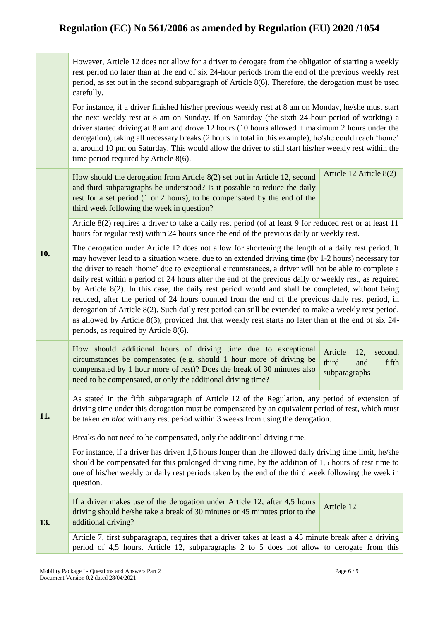However, Article 12 does not allow for a driver to derogate from the obligation of starting a weekly rest period no later than at the end of six 24-hour periods from the end of the previous weekly rest period, as set out in the second subparagraph of Article 8(6). Therefore, the derogation must be used carefully.

For instance, if a driver finished his/her previous weekly rest at 8 am on Monday, he/she must start the next weekly rest at 8 am on Sunday. If on Saturday (the sixth 24-hour period of working) a driver started driving at 8 am and drove 12 hours (10 hours allowed + maximum 2 hours under the derogation), taking all necessary breaks (2 hours in total in this example), he/she could reach 'home' at around 10 pm on Saturday. This would allow the driver to still start his/her weekly rest within the time period required by Article 8(6).

How should the derogation from Article 8(2) set out in Article 12, second and third subparagraphs be understood? Is it possible to reduce the daily rest for a set period (1 or 2 hours), to be compensated by the end of the third week following the week in question? Article 12 Article 8(2)

Article 8(2) requires a driver to take a daily rest period (of at least 9 for reduced rest or at least 11 hours for regular rest) within 24 hours since the end of the previous daily or weekly rest.

**10.**  The derogation under Article 12 does not allow for shortening the length of a daily rest period. It may however lead to a situation where, due to an extended driving time (by 1-2 hours) necessary for the driver to reach 'home' due to exceptional circumstances, a driver will not be able to complete a daily rest within a period of 24 hours after the end of the previous daily or weekly rest, as required by Article 8(2). In this case, the daily rest period would and shall be completed, without being reduced, after the period of 24 hours counted from the end of the previous daily rest period, in derogation of Article 8(2). Such daily rest period can still be extended to make a weekly rest period, as allowed by Article 8(3), provided that that weekly rest starts no later than at the end of six 24 periods, as required by Article 8(6).

How should additional hours of driving time due to exceptional circumstances be compensated (e.g. should 1 hour more of driving be compensated by 1 hour more of rest)? Does the break of 30 minutes also need to be compensated, or only the additional driving time? Article 12, second, third and fifth subparagraphs

**11.** As stated in the fifth subparagraph of Article 12 of the Regulation, any period of extension of driving time under this derogation must be compensated by an equivalent period of rest, which must be taken *en bloc* with any rest period within 3 weeks from using the derogation.

Breaks do not need to be compensated, only the additional driving time.

For instance, if a driver has driven 1,5 hours longer than the allowed daily driving time limit, he/she should be compensated for this prolonged driving time, by the addition of 1,5 hours of rest time to one of his/her weekly or daily rest periods taken by the end of the third week following the week in question.

**13.** If a driver makes use of the derogation under Article 12, after 4,5 hours driving should he/she take a break of 30 minutes or 45 minutes prior to the additional driving? Article 12

> Article 7, first subparagraph, requires that a driver takes at least a 45 minute break after a driving period of 4,5 hours. Article 12, subparagraphs 2 to 5 does not allow to derogate from this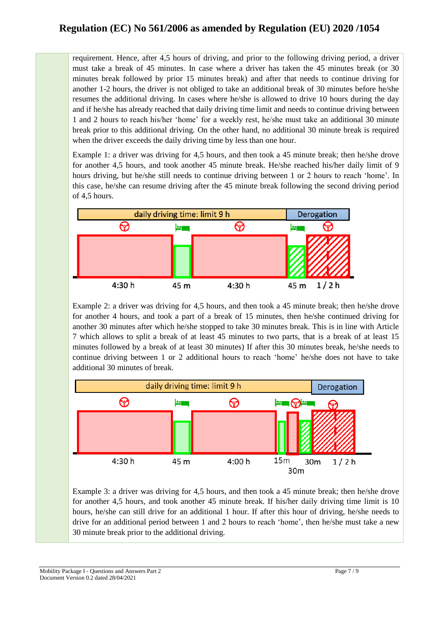requirement. Hence, after 4,5 hours of driving, and prior to the following driving period, a driver must take a break of 45 minutes. In case where a driver has taken the 45 minutes break (or 30 minutes break followed by prior 15 minutes break) and after that needs to continue driving for another 1-2 hours, the driver is not obliged to take an additional break of 30 minutes before he/she resumes the additional driving. In cases where he/she is allowed to drive 10 hours during the day and if he/she has already reached that daily driving time limit and needs to continue driving between 1 and 2 hours to reach his/her 'home' for a weekly rest, he/she must take an additional 30 minute break prior to this additional driving. On the other hand, no additional 30 minute break is required when the driver exceeds the daily driving time by less than one hour.

Example 1: a driver was driving for 4,5 hours, and then took a 45 minute break; then he/she drove for another 4,5 hours, and took another 45 minute break. He/she reached his/her daily limit of 9 hours driving, but he/she still needs to continue driving between 1 or 2 hours to reach 'home'. In this case, he/she can resume driving after the 45 minute break following the second driving period of 4,5 hours.



Example 2: a driver was driving for 4,5 hours, and then took a 45 minute break; then he/she drove for another 4 hours, and took a part of a break of 15 minutes, then he/she continued driving for another 30 minutes after which he/she stopped to take 30 minutes break. This is in line with Article 7 which allows to split a break of at least 45 minutes to two parts, that is a break of at least 15 minutes followed by a break of at least 30 minutes) If after this 30 minutes break, he/she needs to continue driving between 1 or 2 additional hours to reach 'home' he/she does not have to take additional 30 minutes of break.



Example 3: a driver was driving for 4,5 hours, and then took a 45 minute break; then he/she drove for another 4,5 hours, and took another 45 minute break. If his/her daily driving time limit is 10 hours, he/she can still drive for an additional 1 hour. If after this hour of driving, he/she needs to drive for an additional period between 1 and 2 hours to reach 'home', then he/she must take a new 30 minute break prior to the additional driving.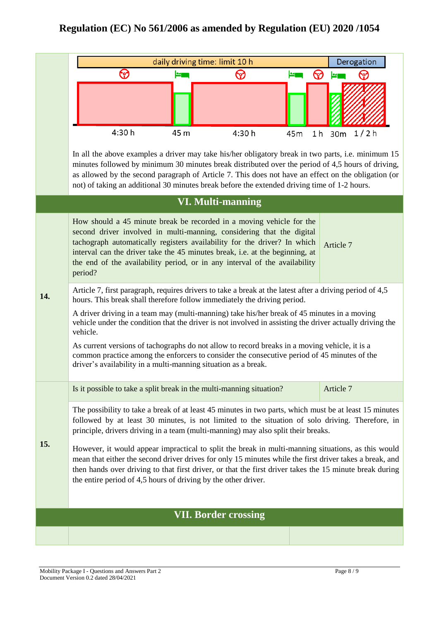